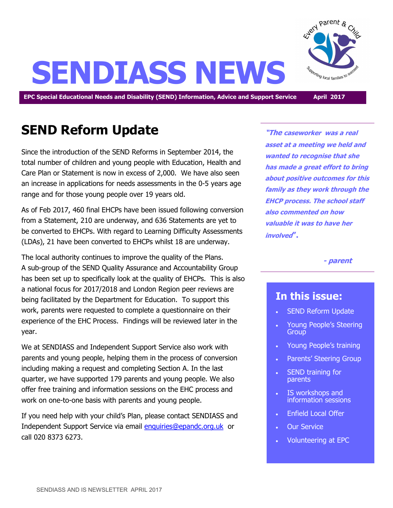

# **SENDIASS NEWS**

**EPC Special Educational Needs and Disability (SEND) Information, Advice and Support Service April 2017**

## **SEND Reform Update**

Since the introduction of the SEND Reforms in September 2014, the total number of children and young people with Education, Health and Care Plan or Statement is now in excess of 2,000. We have also seen an increase in applications for needs assessments in the 0-5 years age range and for those young people over 19 years old.

As of Feb 2017, 460 final EHCPs have been issued following conversion from a Statement, 210 are underway, and 636 Statements are yet to be converted to EHCPs. With regard to Learning Difficulty Assessments (LDAs), 21 have been converted to EHCPs whilst 18 are underway.

The local authority continues to improve the quality of the Plans. A sub-group of the SEND Quality Assurance and Accountability Group has been set up to specifically look at the quality of EHCPs. This is also a national focus for 2017/2018 and London Region peer reviews are being facilitated by the Department for Education. To support this work, parents were requested to complete a questionnaire on their experience of the EHC Process. Findings will be reviewed later in the year.

We at SENDIASS and Independent Support Service also work with parents and young people, helping them in the process of conversion including making a request and completing Section A. In the last quarter, we have supported 179 parents and young people. We also offer free training and information sessions on the EHC process and work on one-to-one basis with parents and young people.

If you need help with your child's Plan, please contact SENDIASS and Independent Support Service via email [enquiries@epandc.org.uk](mailto:enquiries@epandc.org.uk) or call 020 8373 6273.

**"The caseworker was a real asset at a meeting we held and wanted to recognise that she has made a great effort to bring about positive outcomes for this family as they work through the EHCP process. The school staff also commented on how valuable it was to have her involved".** 

 **- parent**

#### **In this issue:**

- SEND Reform Update
- Young People's Steering **Group**
- Young People's training
- Parents' Steering Group
- SEND training for parents
- IS workshops and information sessions
- Enfield Local Offer
- Our Service
- Volunteering at EPC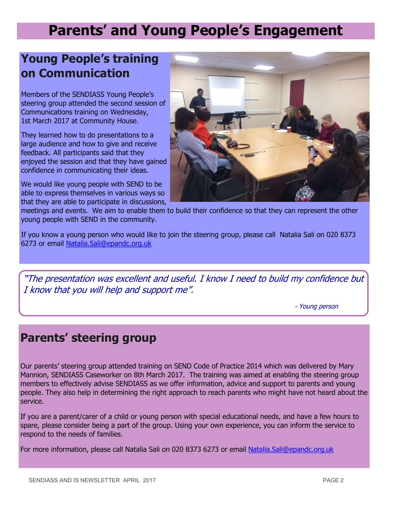# **Parents' and Young People's Engagement**

## **Young People's training on Communication**

Members of the SENDIASS Young People's steering group attended the second session of Communications training on Wednesday, 1st March 2017 at Community House.

They learned how to do presentations to a large audience and how to give and receive feedback. All participants said that they enjoyed the session and that they have gained confidence in communicating their ideas.

We would like young people with SEND to be able to express themselves in various ways so that they are able to participate in discussions,



meetings and events. We aim to enable them to build their confidence so that they can represent the other young people with SEND in the community.

If you know a young person who would like to join the steering group, please call Natalia Sali on 020 8373 6273 or email [Natalia.Sali@epandc.org.uk](mailto:Natalia.Sali@epandc.org.uk)

"The presentation was excellent and useful. I know I need to build my confidence but I know that you will help and support me".

- Young person

## **Parents' steering group**

Our parents' steering group attended training on SEND Code of Practice 2014 which was delivered by Mary Mannion, SENDIASS Caseworker on 8th March 2017. The training was aimed at enabling the steering group members to effectively advise SENDIASS as we offer information, advice and support to parents and young people. They also help in determining the right approach to reach parents who might have not heard about the service.

If you are a parent/carer of a child or young person with special educational needs, and have a few hours to spare, please consider being a part of the group. Using your own experience, you can inform the service to respond to the needs of families.

For more information, please call Natalia Sali on 020 8373 6273 or email [Natalia.Sali@epandc.org.uk](mailto:Natalia.Sali@epandc.org.uk)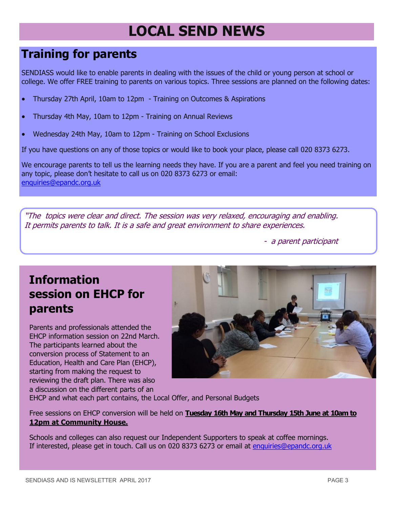# **LOCAL SEND NEWS**

## **Training for parents**

SENDIASS would like to enable parents in dealing with the issues of the child or young person at school or college. We offer FREE training to parents on various topics. Three sessions are planned on the following dates:

- Thursday 27th April, 10am to 12pm Training on Outcomes & Aspirations
- Thursday 4th May, 10am to 12pm Training on Annual Reviews
- Wednesday 24th May, 10am to 12pm Training on School Exclusions

If you have questions on any of those topics or would like to book your place, please call 020 8373 6273.

We encourage parents to tell us the learning needs they have. If you are a parent and feel you need training on any topic, please don't hesitate to call us on 020 8373 6273 or email: [enquiries@epandc.org.uk](mailto:enquiries@epandc.org.uk)

"The topics were clear and direct. The session was very relaxed, encouraging and enabling. It permits parents to talk. It is a safe and great environment to share experiences.

- a parent participant

## **Information session on EHCP for parents**

Parents and professionals attended the EHCP information session on 22nd March. The participants learned about the conversion process of Statement to an Education, Health and Care Plan (EHCP), starting from making the request to reviewing the draft plan. There was also a discussion on the different parts of an



EHCP and what each part contains, the Local Offer, and Personal Budgets

Free sessions on EHCP conversion will be held on **Tuesday 16th May and Thursday 15th June at 10am to 12pm at Community House.**

Schools and colleges can also request our Independent Supporters to speak at coffee mornings. If interested, please get in touch. Call us on 020 8373 6273 or email at [enquiries@epandc.org.uk](mailto:enquiries@epandc.org.uk)